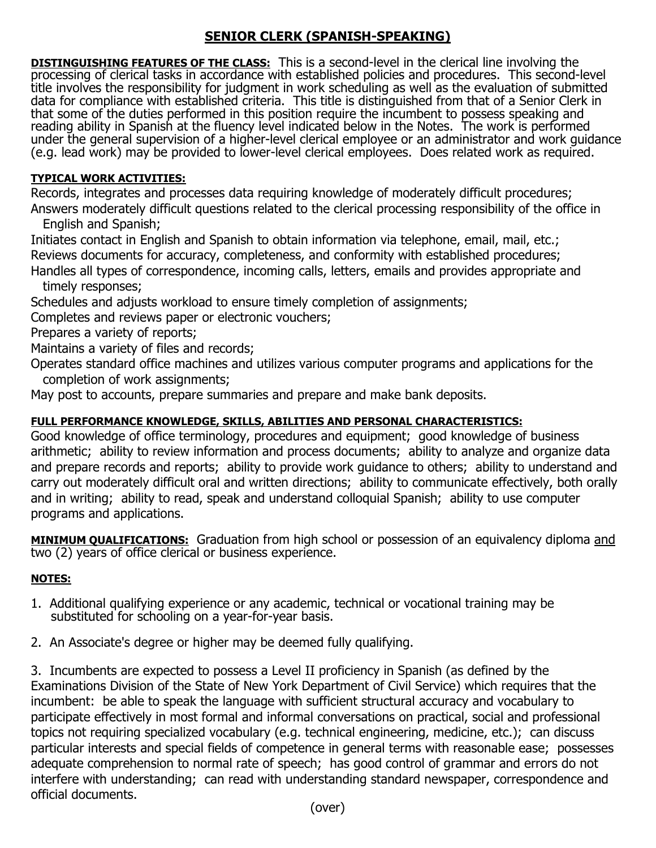## **SENIOR CLERK (SPANISH-SPEAKING)**

**DISTINGUISHING FEATURES OF THE CLASS:** This is a second-level in the clerical line involving the processing of clerical tasks in accordance with established policies and procedures. This second-level title involves the responsibility for judgment in work scheduling as well as the evaluation of submitted data for compliance with established criteria. This title is distinguished from that of a Senior Clerk in that some of the duties performed in this position require the incumbent to possess speaking and reading ability in Spanish at the fluency level indicated below in the Notes. The work is performed under the general supervision of a higher-level clerical employee or an administrator and work guidance (e.g. lead work) may be provided to lower-level clerical employees. Does related work as required.

## **TYPICAL WORK ACTIVITIES:**

Records, integrates and processes data requiring knowledge of moderately difficult procedures; Answers moderately difficult questions related to the clerical processing responsibility of the office in English and Spanish;

Initiates contact in English and Spanish to obtain information via telephone, email, mail, etc.; Reviews documents for accuracy, completeness, and conformity with established procedures; Handles all types of correspondence, incoming calls, letters, emails and provides appropriate and

timely responses;

Schedules and adjusts workload to ensure timely completion of assignments;

Completes and reviews paper or electronic vouchers;

Prepares a variety of reports;

Maintains a variety of files and records;

Operates standard office machines and utilizes various computer programs and applications for the completion of work assignments;

May post to accounts, prepare summaries and prepare and make bank deposits.

## **FULL PERFORMANCE KNOWLEDGE, SKILLS, ABILITIES AND PERSONAL CHARACTERISTICS:**

Good knowledge of office terminology, procedures and equipment; good knowledge of business arithmetic; ability to review information and process documents; ability to analyze and organize data and prepare records and reports; ability to provide work guidance to others; ability to understand and carry out moderately difficult oral and written directions; ability to communicate effectively, both orally and in writing; ability to read, speak and understand colloquial Spanish; ability to use computer programs and applications.

**MINIMUM QUALIFICATIONS:** Graduation from high school or possession of an equivalency diploma and two (2) years of office clerical or business experience.

## **NOTES:**

- 1. Additional qualifying experience or any academic, technical or vocational training may be substituted for schooling on a year-for-year basis.
- 2. An Associate's degree or higher may be deemed fully qualifying.

3. Incumbents are expected to possess a Level II proficiency in Spanish (as defined by the Examinations Division of the State of New York Department of Civil Service) which requires that the incumbent: be able to speak the language with sufficient structural accuracy and vocabulary to participate effectively in most formal and informal conversations on practical, social and professional topics not requiring specialized vocabulary (e.g. technical engineering, medicine, etc.); can discuss particular interests and special fields of competence in general terms with reasonable ease; possesses adequate comprehension to normal rate of speech; has good control of grammar and errors do not interfere with understanding; can read with understanding standard newspaper, correspondence and official documents.